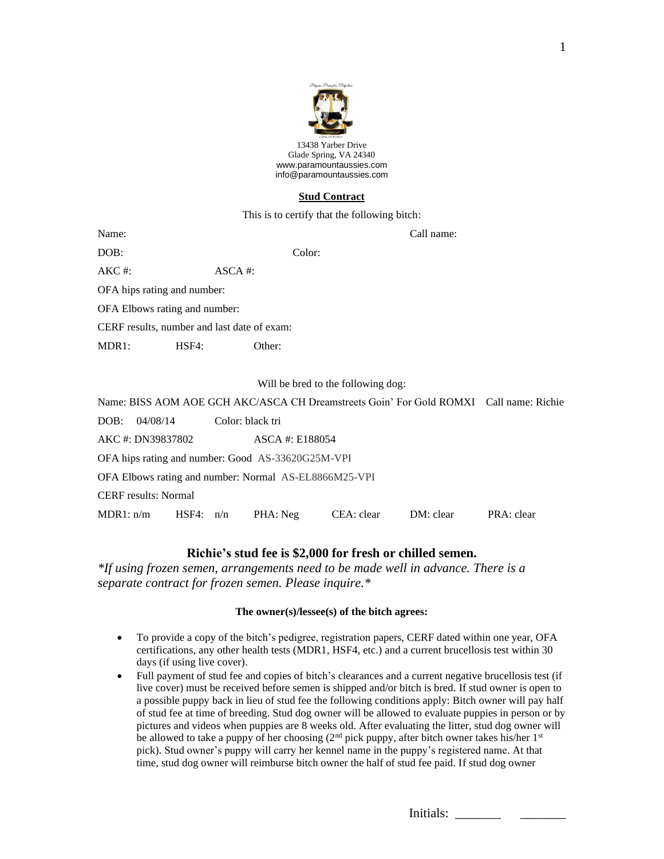

13438 Yarber Drive Glade Spring, VA 24340 [www.paramountaussies.com](http://www.paramountaussies.com/) [info@paramountaussies.com](mailto:info@paramountaussies.com)

## **Stud Contract**

This is to certify that the following bitch:

| Name:                              |                                             |                      | Call name:                                                                             |  |  |  |  |  |  |
|------------------------------------|---------------------------------------------|----------------------|----------------------------------------------------------------------------------------|--|--|--|--|--|--|
| DOB:                               |                                             |                      | Color:                                                                                 |  |  |  |  |  |  |
| $AKC \#$ :                         |                                             | $\overline{ASCA}$ #: |                                                                                        |  |  |  |  |  |  |
|                                    | OFA hips rating and number:                 |                      |                                                                                        |  |  |  |  |  |  |
|                                    | OFA Elbows rating and number:               |                      |                                                                                        |  |  |  |  |  |  |
|                                    | CERF results, number and last date of exam: |                      |                                                                                        |  |  |  |  |  |  |
| MDR <sub>1</sub> :                 | HSF4:                                       | Other:               |                                                                                        |  |  |  |  |  |  |
|                                    |                                             |                      |                                                                                        |  |  |  |  |  |  |
| Will be bred to the following dog: |                                             |                      |                                                                                        |  |  |  |  |  |  |
|                                    |                                             |                      | Name: BISS AOM AOE GCH AKC/ASCA CH Dreamstreets Goin' For Gold ROMXI Call name: Richie |  |  |  |  |  |  |
| DOB:                               | 04/08/14                                    | Color: black tri     |                                                                                        |  |  |  |  |  |  |
|                                    |                                             |                      |                                                                                        |  |  |  |  |  |  |

| AKC #: DN39837802                                     |           |  | ASCA #: E188054 |            |           |            |  |  |
|-------------------------------------------------------|-----------|--|-----------------|------------|-----------|------------|--|--|
| OFA hips rating and number: Good AS-33620G25M-VPI     |           |  |                 |            |           |            |  |  |
| OFA Elbows rating and number: Normal AS-EL8866M25-VPI |           |  |                 |            |           |            |  |  |
| <b>CERF</b> results: Normal                           |           |  |                 |            |           |            |  |  |
| MDR1: n/m                                             | HSF4: n/n |  | PHA: Neg        | CEA: clear | DM: clear | PRA: clear |  |  |

# **Richie's stud fee is \$2,000 for fresh or chilled semen.**

*\*If using frozen semen, arrangements need to be made well in advance. There is a separate contract for frozen semen. Please inquire.\**

## **The owner(s)/lessee(s) of the bitch agrees:**

- To provide a copy of the bitch's pedigree, registration papers, CERF dated within one year, OFA certifications, any other health tests (MDR1, HSF4, etc.) and a current brucellosis test within 30 days (if using live cover).
- Full payment of stud fee and copies of bitch's clearances and a current negative brucellosis test (if live cover) must be received before semen is shipped and/or bitch is bred. If stud owner is open to a possible puppy back in lieu of stud fee the following conditions apply: Bitch owner will pay half of stud fee at time of breeding. Stud dog owner will be allowed to evaluate puppies in person or by pictures and videos when puppies are 8 weeks old. After evaluating the litter, stud dog owner will be allowed to take a puppy of her choosing (2<sup>nd</sup> pick puppy, after bitch owner takes his/her 1<sup>st</sup> pick). Stud owner's puppy will carry her kennel name in the puppy's registered name. At that time, stud dog owner will reimburse bitch owner the half of stud fee paid. If stud dog owner

| Initials: |  |  |
|-----------|--|--|
|-----------|--|--|